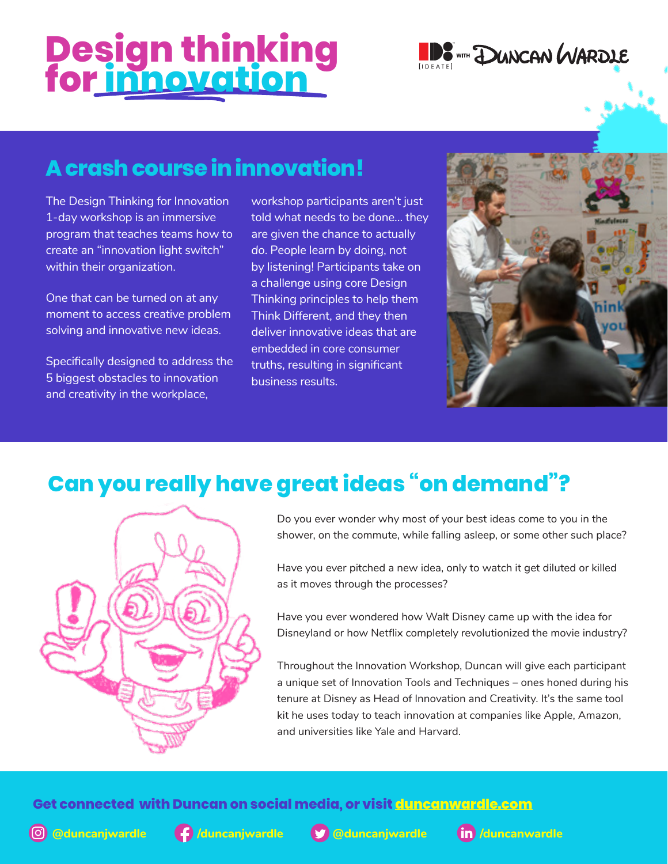# **Design thinking for innovation**



## **A crash course in innovation!**

The Design Thinking for Innovation 1-day workshop is an immersive program that teaches teams how to create an "innovation light switch" within their organization.

One that can be turned on at any moment to access creative problem solving and innovative new ideas.

Specifically designed to address the 5 biggest obstacles to innovation and creativity in the workplace,

workshop participants aren't just told what needs to be done… they are given the chance to actually *do*. People learn by doing, not by listening! Participants take on a challenge using core Design Thinking principles to help them Think Different, and they then deliver innovative ideas that are embedded in core consumer truths, resulting in significant business results.



# **Can you really have great ideas "on demand"?**



Do you ever wonder why most of your best ideas come to you in the shower, on the commute, while falling asleep, or some other such place?

Have you ever pitched a new idea, only to watch it get diluted or killed as it moves through the processes?

Have you ever wondered how Walt Disney came up with the idea for Disneyland or how Netflix completely revolutionized the movie industry?

Throughout the Innovation Workshop, Duncan will give each participant a unique set of Innovation Tools and Techniques – ones honed during his tenure at Disney as Head of Innovation and Creativity. It's the same tool kit he uses today to teach innovation at companies like Apple, Amazon, and universities like Yale and Harvard.

#### **Get connected with Duncan on social media, or visit [duncanwardle.com](http://duncanwardle.com)**







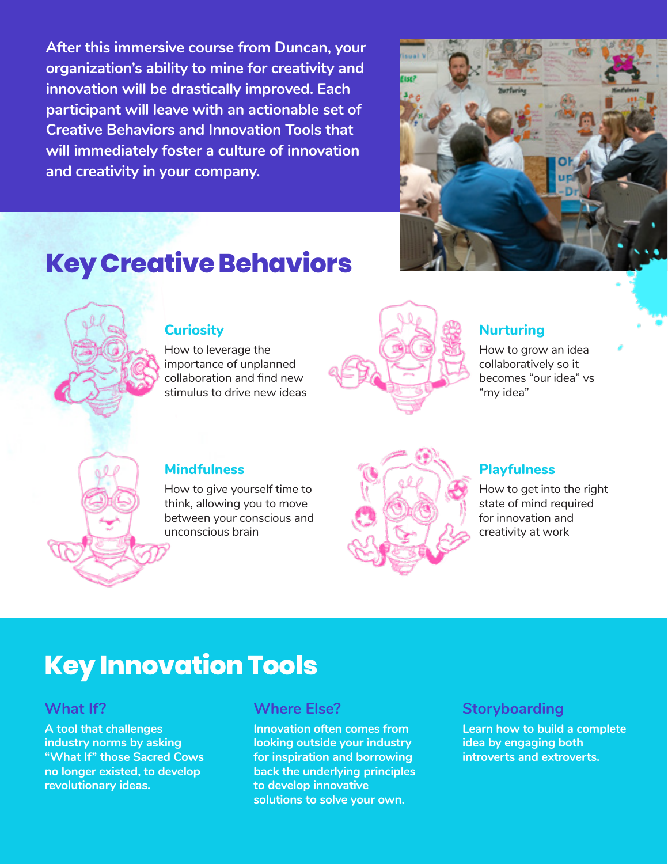**After this immersive course from Duncan, your organization's ability to mine for creativity and innovation will be drastically improved. Each participant will leave with an actionable set of Creative Behaviors and Innovation Tools that will immediately foster a culture of innovation and creativity in your company.**



# **Key Creative Behaviors**



#### **Curiosity**

How to leverage the importance of unplanned collaboration and find new stimulus to drive new ideas



### **Nurturing**

How to grow an idea collaboratively so it becomes "our idea" vs "my idea"



#### **Mindfulness**

How to give yourself time to think, allowing you to move between your conscious and unconscious brain



#### **Playfulness**

How to get into the right state of mind required for innovation and creativity at work

# **Key Innovation Tools**

### **What If?**

**A tool that challenges industry norms by asking "What If" those Sacred Cows no longer existed, to develop revolutionary ideas.**

### **Where Else?**

**Innovation often comes from looking outside your industry for inspiration and borrowing back the underlying principles to develop innovative solutions to solve your own.**

### **Storyboarding**

**Learn how to build a complete idea by engaging both introverts and extroverts.**